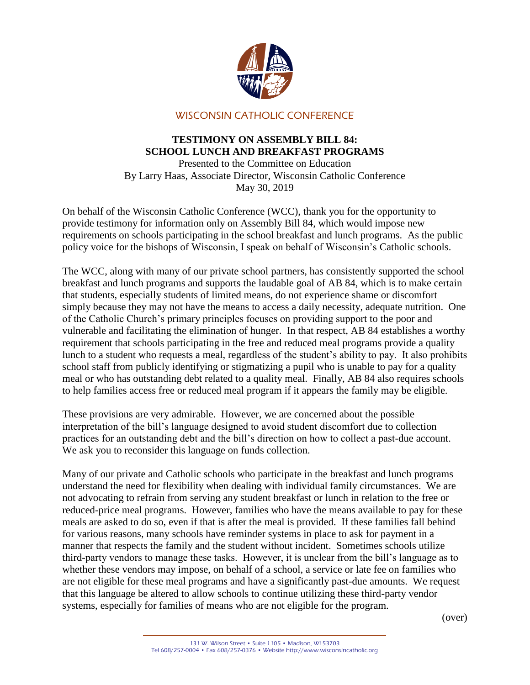

## WISCONSIN CATHOLIC CONFERENCE

## **TESTIMONY ON ASSEMBLY BILL 84: SCHOOL LUNCH AND BREAKFAST PROGRAMS**

Presented to the Committee on Education By Larry Haas, Associate Director, Wisconsin Catholic Conference May 30, 2019

On behalf of the Wisconsin Catholic Conference (WCC), thank you for the opportunity to provide testimony for information only on Assembly Bill 84, which would impose new requirements on schools participating in the school breakfast and lunch programs. As the public policy voice for the bishops of Wisconsin, I speak on behalf of Wisconsin's Catholic schools.

The WCC, along with many of our private school partners, has consistently supported the school breakfast and lunch programs and supports the laudable goal of AB 84, which is to make certain that students, especially students of limited means, do not experience shame or discomfort simply because they may not have the means to access a daily necessity, adequate nutrition. One of the Catholic Church's primary principles focuses on providing support to the poor and vulnerable and facilitating the elimination of hunger. In that respect, AB 84 establishes a worthy requirement that schools participating in the free and reduced meal programs provide a quality lunch to a student who requests a meal, regardless of the student's ability to pay. It also prohibits school staff from publicly identifying or stigmatizing a pupil who is unable to pay for a quality meal or who has outstanding debt related to a quality meal. Finally, AB 84 also requires schools to help families access free or reduced meal program if it appears the family may be eligible.

These provisions are very admirable. However, we are concerned about the possible interpretation of the bill's language designed to avoid student discomfort due to collection practices for an outstanding debt and the bill's direction on how to collect a past-due account. We ask you to reconsider this language on funds collection.

Many of our private and Catholic schools who participate in the breakfast and lunch programs understand the need for flexibility when dealing with individual family circumstances. We are not advocating to refrain from serving any student breakfast or lunch in relation to the free or reduced-price meal programs. However, families who have the means available to pay for these meals are asked to do so, even if that is after the meal is provided. If these families fall behind for various reasons, many schools have reminder systems in place to ask for payment in a manner that respects the family and the student without incident. Sometimes schools utilize third-party vendors to manage these tasks. However, it is unclear from the bill's language as to whether these vendors may impose, on behalf of a school, a service or late fee on families who are not eligible for these meal programs and have a significantly past-due amounts. We request that this language be altered to allow schools to continue utilizing these third-party vendor systems, especially for families of means who are not eligible for the program.

(over)